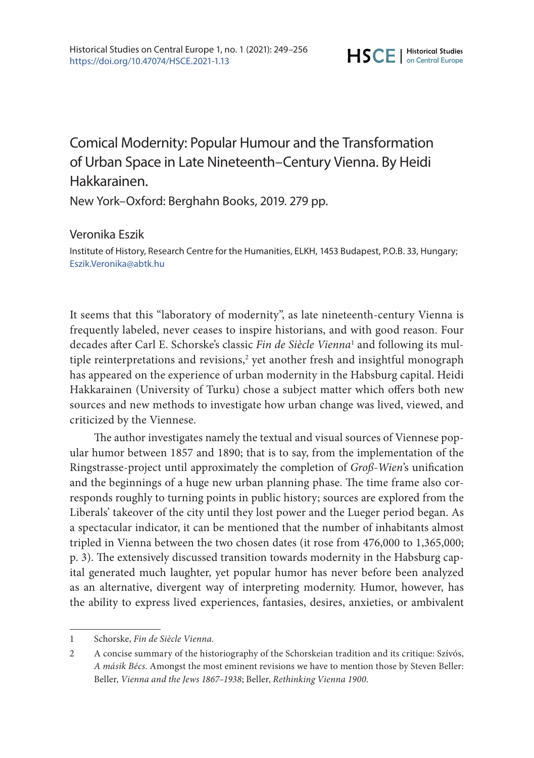## Comical Modernity: Popular Humour and the Transformation of Urban Space in Late Nineteenth–Century Vienna. By Heidi Hakkarainen.

New York–Oxford: Berghahn Books, 2019. 279 pp.

## Veronika Eszik

Institute of History, Research Centre for the Humanities, ELKH, 1453 Budapest, P.O.B. 33, Hungary; [Eszik.Veronika@abtk.hu](mailto:Eszik.Veronika@abtk.hu)

It seems that this "laboratory of modernity", as late nineteenth-century Vienna is frequently labeled, never ceases to inspire historians, and with good reason. Four decades after Carl E. Schorske's classic *Fin de Siècle Vienna*<sup>1</sup> and following its multiple reinterpretations and revisions,<sup>2</sup> yet another fresh and insightful monograph has appeared on the experience of urban modernity in the Habsburg capital. Heidi Hakkarainen (University of Turku) chose a subject matter which offers both new sources and new methods to investigate how urban change was lived, viewed, and criticized by the Viennese.

The author investigates namely the textual and visual sources of Viennese popular humor between 1857 and 1890; that is to say, from the implementation of the Ringstrasse-project until approximately the completion of *Groß-Wien*'s unification and the beginnings of a huge new urban planning phase. The time frame also corresponds roughly to turning points in public history; sources are explored from the Liberals' takeover of the city until they lost power and the Lueger period began. As a spectacular indicator, it can be mentioned that the number of inhabitants almost tripled in Vienna between the two chosen dates (it rose from 476,000 to 1,365,000; p. 3). The extensively discussed transition towards modernity in the Habsburg capital generated much laughter, yet popular humor has never before been analyzed as an alternative, divergent way of interpreting modernity. Humor, however, has the ability to express lived experiences, fantasies, desires, anxieties, or ambivalent

<sup>1</sup> Schorske, *Fin de Siècle Vienna.*

<sup>2</sup> A concise summary of the historiography of the Schorskeian tradition and its critique: Szívós, *A másik Bécs*. Amongst the most eminent revisions we have to mention those by Steven Beller: Beller, *Vienna and the Jews 1867–1938*; Beller, *Rethinking Vienna 1900*.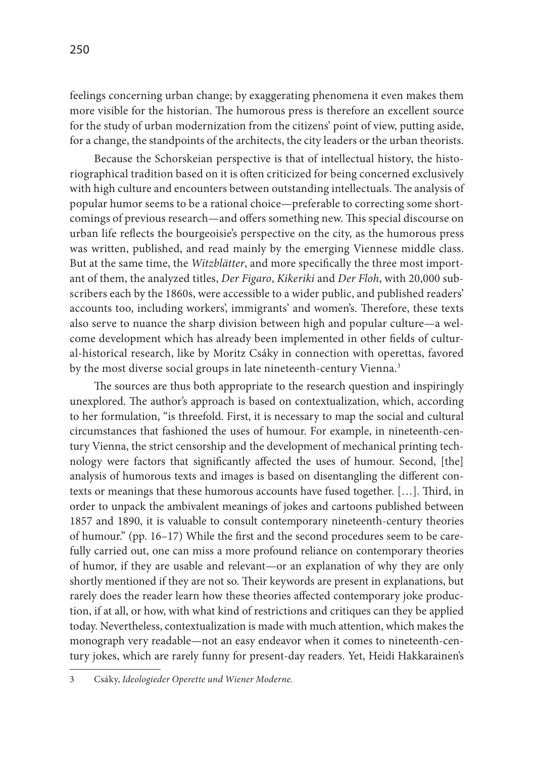feelings concerning urban change; by exaggerating phenomena it even makes them more visible for the historian. The humorous press is therefore an excellent source for the study of urban modernization from the citizens' point of view, putting aside, for a change, the standpoints of the architects, the city leaders or the urban theorists.

Because the Schorskeian perspective is that of intellectual history, the historiographical tradition based on it is often criticized for being concerned exclusively with high culture and encounters between outstanding intellectuals. The analysis of popular humor seems to be a rational choice—preferable to correcting some shortcomings of previous research—and offers something new. This special discourse on urban life reflects the bourgeoisie's perspective on the city, as the humorous press was written, published, and read mainly by the emerging Viennese middle class. But at the same time, the *Witzblätter*, and more specifically the three most important of them, the analyzed titles, *Der Figaro*, *Kikeriki* and *Der Floh*, with 20,000 subscribers each by the 1860s, were accessible to a wider public, and published readers' accounts too, including workers', immigrants' and women's. Therefore, these texts also serve to nuance the sharp division between high and popular culture—a welcome development which has already been implemented in other fields of cultural-historical research, like by Moritz Csáky in connection with operettas, favored by the most diverse social groups in late nineteenth-century Vienna.<sup>3</sup>

The sources are thus both appropriate to the research question and inspiringly unexplored. The author's approach is based on contextualization, which, according to her formulation, "is threefold. First, it is necessary to map the social and cultural circumstances that fashioned the uses of humour. For example, in nineteenth-century Vienna, the strict censorship and the development of mechanical printing technology were factors that significantly affected the uses of humour. Second, [the] analysis of humorous texts and images is based on disentangling the different contexts or meanings that these humorous accounts have fused together. […]. Third, in order to unpack the ambivalent meanings of jokes and cartoons published between 1857 and 1890, it is valuable to consult contemporary nineteenth-century theories of humour." (pp. 16–17) While the first and the second procedures seem to be carefully carried out, one can miss a more profound reliance on contemporary theories of humor, if they are usable and relevant—or an explanation of why they are only shortly mentioned if they are not so. Their keywords are present in explanations, but rarely does the reader learn how these theories affected contemporary joke production, if at all, or how, with what kind of restrictions and critiques can they be applied today. Nevertheless, contextualization is made with much attention, which makes the monograph very readable—not an easy endeavor when it comes to nineteenth-century jokes, which are rarely funny for present-day readers. Yet, Heidi Hakkarainen's

<sup>3</sup> Csáky, *Ideologieder Operette und Wiener Moderne.*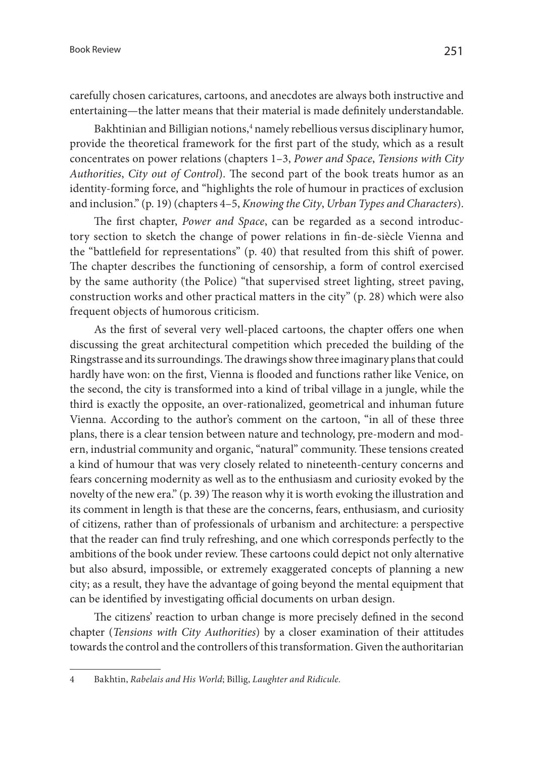carefully chosen caricatures, cartoons, and anecdotes are always both instructive and entertaining—the latter means that their material is made definitely understandable.

Bakhtinian and Billigian notions,<sup>4</sup> namely rebellious versus disciplinary humor, provide the theoretical framework for the first part of the study, which as a result concentrates on power relations (chapters 1–3, *Power and Space*, *Tensions with City Authorities*, *City out of Control*). The second part of the book treats humor as an identity-forming force, and "highlights the role of humour in practices of exclusion and inclusion." (p. 19) (chapters 4–5, *Knowing the City*, *Urban Types and Characters*).

The first chapter, *Power and Space*, can be regarded as a second introductory section to sketch the change of power relations in fin-de-siècle Vienna and the "battlefield for representations" (p. 40) that resulted from this shift of power. The chapter describes the functioning of censorship, a form of control exercised by the same authority (the Police) "that supervised street lighting, street paving, construction works and other practical matters in the city" (p. 28) which were also frequent objects of humorous criticism.

As the first of several very well-placed cartoons, the chapter offers one when discussing the great architectural competition which preceded the building of the Ringstrasse and its surroundings. The drawings show three imaginary plans that could hardly have won: on the first, Vienna is flooded and functions rather like Venice, on the second, the city is transformed into a kind of tribal village in a jungle, while the third is exactly the opposite, an over-rationalized, geometrical and inhuman future Vienna. According to the author's comment on the cartoon, "in all of these three plans, there is a clear tension between nature and technology, pre-modern and modern, industrial community and organic, "natural" community. These tensions created a kind of humour that was very closely related to nineteenth-century concerns and fears concerning modernity as well as to the enthusiasm and curiosity evoked by the novelty of the new era." (p. 39) The reason why it is worth evoking the illustration and its comment in length is that these are the concerns, fears, enthusiasm, and curiosity of citizens, rather than of professionals of urbanism and architecture: a perspective that the reader can find truly refreshing, and one which corresponds perfectly to the ambitions of the book under review. These cartoons could depict not only alternative but also absurd, impossible, or extremely exaggerated concepts of planning a new city; as a result, they have the advantage of going beyond the mental equipment that can be identified by investigating official documents on urban design.

The citizens' reaction to urban change is more precisely defined in the second chapter (*Tensions with City Authorities*) by a closer examination of their attitudes towards the control and the controllers of this transformation. Given the authoritarian

<sup>4</sup> Bakhtin, *Rabelais and His World*; Billig, *Laughter and Ridicule.*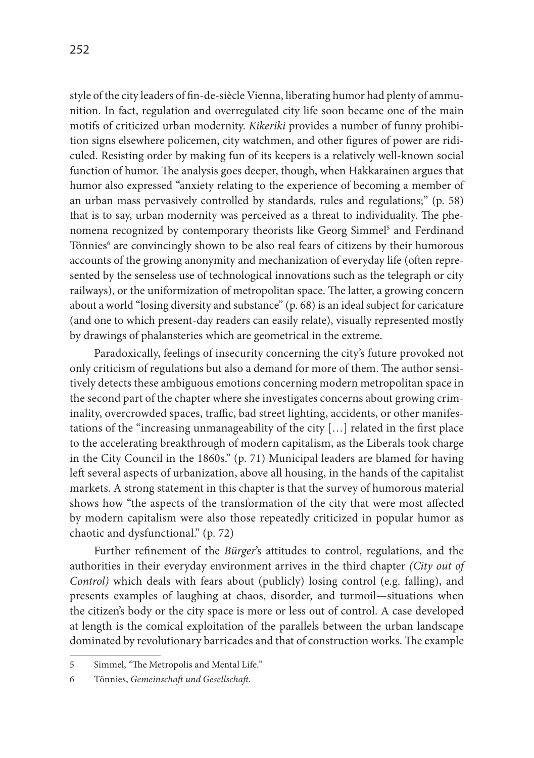252

style of the city leaders of fin-de-siècle Vienna, liberating humor had plenty of ammunition. In fact, regulation and overregulated city life soon became one of the main motifs of criticized urban modernity. *Kikeriki* provides a number of funny prohibition signs elsewhere policemen, city watchmen, and other figures of power are ridiculed. Resisting order by making fun of its keepers is a relatively well-known social function of humor. The analysis goes deeper, though, when Hakkarainen argues that humor also expressed "anxiety relating to the experience of becoming a member of an urban mass pervasively controlled by standards, rules and regulations;" (p. 58) that is to say, urban modernity was perceived as a threat to individuality. The phenomena recognized by contemporary theorists like Georg Simmel<sup>5</sup> and Ferdinand Tönnies<sup>6</sup> are convincingly shown to be also real fears of citizens by their humorous accounts of the growing anonymity and mechanization of everyday life (often represented by the senseless use of technological innovations such as the telegraph or city railways), or the uniformization of metropolitan space. The latter, a growing concern about a world "losing diversity and substance" (p. 68) is an ideal subject for caricature (and one to which present-day readers can easily relate), visually represented mostly by drawings of phalansteries which are geometrical in the extreme.

Paradoxically, feelings of insecurity concerning the city's future provoked not only criticism of regulations but also a demand for more of them. The author sensitively detects these ambiguous emotions concerning modern metropolitan space in the second part of the chapter where she investigates concerns about growing criminality, overcrowded spaces, traffic, bad street lighting, accidents, or other manifestations of the "increasing unmanageability of the city […] related in the first place to the accelerating breakthrough of modern capitalism, as the Liberals took charge in the City Council in the 1860s." (p. 71) Municipal leaders are blamed for having left several aspects of urbanization, above all housing, in the hands of the capitalist markets. A strong statement in this chapter is that the survey of humorous material shows how "the aspects of the transformation of the city that were most affected by modern capitalism were also those repeatedly criticized in popular humor as chaotic and dysfunctional." (p. 72)

Further refinement of the *Bürger*'s attitudes to control, regulations, and the authorities in their everyday environment arrives in the third chapter *(City out of Control)* which deals with fears about (publicly) losing control (e.g. falling), and presents examples of laughing at chaos, disorder, and turmoil—situations when the citizen's body or the city space is more or less out of control. A case developed at length is the comical exploitation of the parallels between the urban landscape dominated by revolutionary barricades and that of construction works. The example

<sup>5</sup> Simmel, "The Metropolis and Mental Life."

<sup>6</sup> Tönnies, *Gemeinschaft und Gesellschaft.*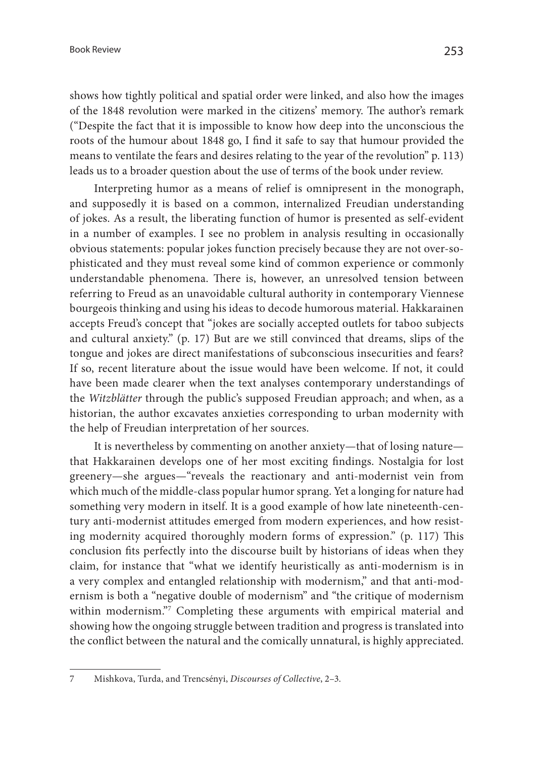shows how tightly political and spatial order were linked, and also how the images of the 1848 revolution were marked in the citizens' memory. The author's remark ("Despite the fact that it is impossible to know how deep into the unconscious the roots of the humour about 1848 go, I find it safe to say that humour provided the means to ventilate the fears and desires relating to the year of the revolution" p. 113) leads us to a broader question about the use of terms of the book under review.

Interpreting humor as a means of relief is omnipresent in the monograph, and supposedly it is based on a common, internalized Freudian understanding of jokes. As a result, the liberating function of humor is presented as self-evident in a number of examples. I see no problem in analysis resulting in occasionally obvious statements: popular jokes function precisely because they are not over-sophisticated and they must reveal some kind of common experience or commonly understandable phenomena. There is, however, an unresolved tension between referring to Freud as an unavoidable cultural authority in contemporary Viennese bourgeois thinking and using his ideas to decode humorous material. Hakkarainen accepts Freud's concept that "jokes are socially accepted outlets for taboo subjects and cultural anxiety." (p. 17) But are we still convinced that dreams, slips of the tongue and jokes are direct manifestations of subconscious insecurities and fears? If so, recent literature about the issue would have been welcome. If not, it could have been made clearer when the text analyses contemporary understandings of the *Witzblätter* through the public's supposed Freudian approach; and when, as a historian, the author excavates anxieties corresponding to urban modernity with the help of Freudian interpretation of her sources.

It is nevertheless by commenting on another anxiety—that of losing nature that Hakkarainen develops one of her most exciting findings. Nostalgia for lost greenery—she argues—"reveals the reactionary and anti-modernist vein from which much of the middle-class popular humor sprang. Yet a longing for nature had something very modern in itself. It is a good example of how late nineteenth-century anti-modernist attitudes emerged from modern experiences, and how resisting modernity acquired thoroughly modern forms of expression." (p. 117) This conclusion fits perfectly into the discourse built by historians of ideas when they claim, for instance that "what we identify heuristically as anti-modernism is in a very complex and entangled relationship with modernism," and that anti-modernism is both a "negative double of modernism" and "the critique of modernism within modernism."7 Completing these arguments with empirical material and showing how the ongoing struggle between tradition and progress is translated into the conflict between the natural and the comically unnatural, is highly appreciated.

<sup>7</sup> Mishkova, Turda, and Trencsényi, *Discourses of Collective*, 2–3.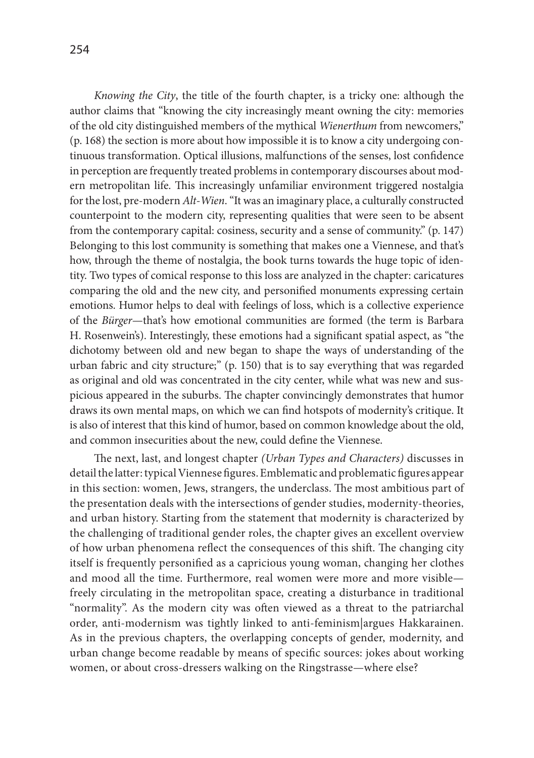*Knowing the City*, the title of the fourth chapter, is a tricky one: although the author claims that "knowing the city increasingly meant owning the city: memories of the old city distinguished members of the mythical *Wienerthum* from newcomers," (p. 168) the section is more about how impossible it is to know a city undergoing continuous transformation. Optical illusions, malfunctions of the senses, lost confidence in perception are frequently treated problems in contemporary discourses about modern metropolitan life. This increasingly unfamiliar environment triggered nostalgia for the lost, pre-modern *Alt-Wien*. "It was an imaginary place, a culturally constructed counterpoint to the modern city, representing qualities that were seen to be absent from the contemporary capital: cosiness, security and a sense of community." (p. 147) Belonging to this lost community is something that makes one a Viennese, and that's how, through the theme of nostalgia, the book turns towards the huge topic of identity. Two types of comical response to this loss are analyzed in the chapter: caricatures comparing the old and the new city, and personified monuments expressing certain emotions. Humor helps to deal with feelings of loss, which is a collective experience of the *Bürger*—that's how emotional communities are formed (the term is Barbara H. Rosenwein's). Interestingly, these emotions had a significant spatial aspect, as "the dichotomy between old and new began to shape the ways of understanding of the urban fabric and city structure;" (p. 150) that is to say everything that was regarded as original and old was concentrated in the city center, while what was new and suspicious appeared in the suburbs. The chapter convincingly demonstrates that humor draws its own mental maps, on which we can find hotspots of modernity's critique. It is also of interest that this kind of humor, based on common knowledge about the old, and common insecurities about the new, could define the Viennese.

The next, last, and longest chapter *(Urban Types and Characters)* discusses in detail the latter: typical Viennese figures. Emblematic and problematic figures appear in this section: women, Jews, strangers, the underclass. The most ambitious part of the presentation deals with the intersections of gender studies, modernity-theories, and urban history. Starting from the statement that modernity is characterized by the challenging of traditional gender roles, the chapter gives an excellent overview of how urban phenomena reflect the consequences of this shift. The changing city itself is frequently personified as a capricious young woman, changing her clothes and mood all the time. Furthermore, real women were more and more visible freely circulating in the metropolitan space, creating a disturbance in traditional "normality". As the modern city was often viewed as a threat to the patriarchal order, anti-modernism was tightly linked to anti-feminism|argues Hakkarainen. As in the previous chapters, the overlapping concepts of gender, modernity, and urban change become readable by means of specific sources: jokes about working women, or about cross-dressers walking on the Ringstrasse—where else?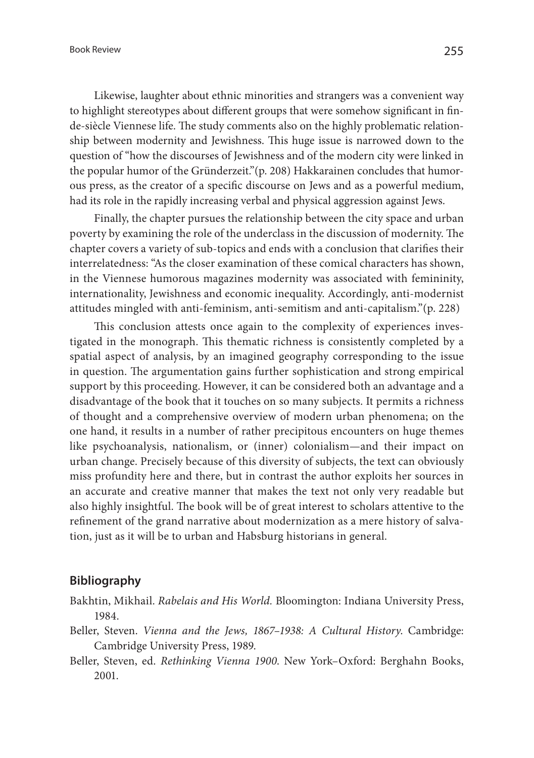Likewise, laughter about ethnic minorities and strangers was a convenient way to highlight stereotypes about different groups that were somehow significant in finde-siècle Viennese life. The study comments also on the highly problematic relationship between modernity and Jewishness. This huge issue is narrowed down to the question of "how the discourses of Jewishness and of the modern city were linked in the popular humor of the Gründerzeit."(p. 208) Hakkarainen concludes that humorous press, as the creator of a specific discourse on Jews and as a powerful medium, had its role in the rapidly increasing verbal and physical aggression against Jews.

Finally, the chapter pursues the relationship between the city space and urban poverty by examining the role of the underclass in the discussion of modernity. The chapter covers a variety of sub-topics and ends with a conclusion that clarifies their interrelatedness: "As the closer examination of these comical characters has shown, in the Viennese humorous magazines modernity was associated with femininity, internationality, Jewishness and economic inequality. Accordingly, anti-modernist attitudes mingled with anti-feminism, anti-semitism and anti-capitalism."(p. 228)

This conclusion attests once again to the complexity of experiences investigated in the monograph. This thematic richness is consistently completed by a spatial aspect of analysis, by an imagined geography corresponding to the issue in question. The argumentation gains further sophistication and strong empirical support by this proceeding. However, it can be considered both an advantage and a disadvantage of the book that it touches on so many subjects. It permits a richness of thought and a comprehensive overview of modern urban phenomena; on the one hand, it results in a number of rather precipitous encounters on huge themes like psychoanalysis, nationalism, or (inner) colonialism—and their impact on urban change. Precisely because of this diversity of subjects, the text can obviously miss profundity here and there, but in contrast the author exploits her sources in an accurate and creative manner that makes the text not only very readable but also highly insightful. The book will be of great interest to scholars attentive to the refinement of the grand narrative about modernization as a mere history of salvation, just as it will be to urban and Habsburg historians in general.

## **Bibliography**

- Bakhtin, Mikhail. *Rabelais and His World.* Bloomington: Indiana University Press, 1984.
- Beller, Steven. *Vienna and the Jews, 1867–1938: A Cultural History*. Cambridge: Cambridge University Press, 1989.
- Beller, Steven, ed. *Rethinking Vienna 1900*. New York–Oxford: Berghahn Books, 2001.